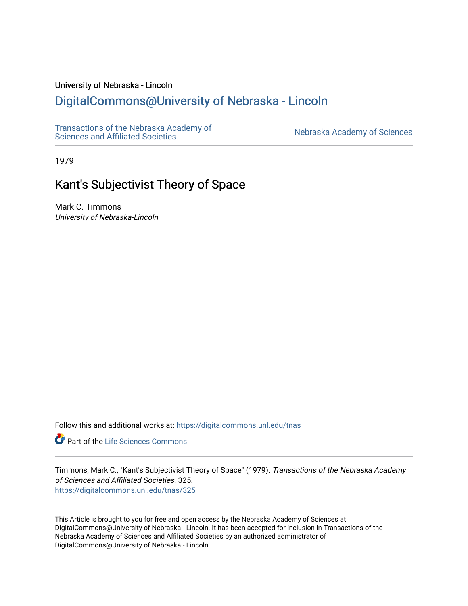### University of Nebraska - Lincoln

## [DigitalCommons@University of Nebraska - Lincoln](https://digitalcommons.unl.edu/)

[Transactions of the Nebraska Academy of](https://digitalcommons.unl.edu/tnas)  Transactions of the Nebraska Academy of Sciences<br>Sciences and Affiliated Societies

1979

# Kant's Subjectivist Theory of Space

Mark C. Timmons University of Nebraska-Lincoln

Follow this and additional works at: [https://digitalcommons.unl.edu/tnas](https://digitalcommons.unl.edu/tnas?utm_source=digitalcommons.unl.edu%2Ftnas%2F325&utm_medium=PDF&utm_campaign=PDFCoverPages) 

Part of the [Life Sciences Commons](http://network.bepress.com/hgg/discipline/1016?utm_source=digitalcommons.unl.edu%2Ftnas%2F325&utm_medium=PDF&utm_campaign=PDFCoverPages) 

Timmons, Mark C., "Kant's Subjectivist Theory of Space" (1979). Transactions of the Nebraska Academy of Sciences and Affiliated Societies. 325. [https://digitalcommons.unl.edu/tnas/325](https://digitalcommons.unl.edu/tnas/325?utm_source=digitalcommons.unl.edu%2Ftnas%2F325&utm_medium=PDF&utm_campaign=PDFCoverPages) 

This Article is brought to you for free and open access by the Nebraska Academy of Sciences at DigitalCommons@University of Nebraska - Lincoln. It has been accepted for inclusion in Transactions of the Nebraska Academy of Sciences and Affiliated Societies by an authorized administrator of DigitalCommons@University of Nebraska - Lincoln.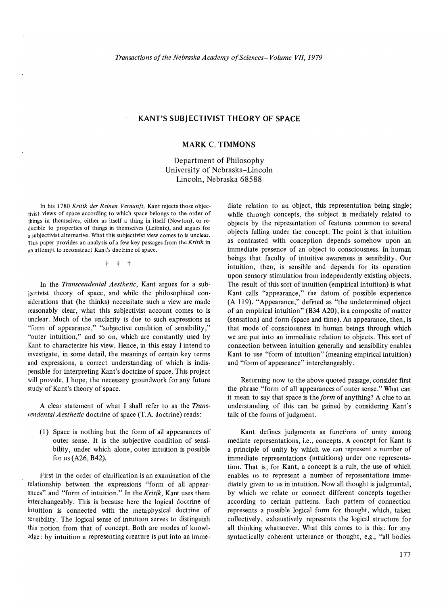#### **KANT'S SUBJ ECTIVIST THEORY OF SPACE**

#### **MARK C. TIMMONS**

Department of Philosophy University of Nebraska-Lincoln Lincoln, Nebraska 68588

In his 1780 *Kritik der Reinen Vernunft,* Kant rejects those objectivist views of space according to which space belongs to the order of things in themselves, either as itself a thing in itself (Newton), or reducible to properties of things in themselves (Leibniz), and argues for a subjectivist alternative. What this subjectivist view comes to is unclear. This paper provides an analysis of a few key passages from the *Kritik* in an attempt to reconstruct Kant's doctrine of space.

t t t

In the *Transcendental Aesthetic,* Kant argues for a subjectivist theory of space, and while the philosophical considerations that (he thinks) necessitate such a view are made reasonably clear, what this subjectivist account comes to is unclear. Much of the unclarity is due to such expressions as "form of appearance," "subjective condition of sensibility," "outer intuition," and so on, which are constantly used by Kant to characterize his view. Hence, in this essay I intend to investigate, in some detail, the meanings of certain key terms and expressions, a correct understanding of which is indispensible for interpreting Kant's doctrine of space. This project will provide, I hope, the necessary groundwork for any future study of Kant's theory of space.

A clear statement of what I shall refer to as the *Transcendental Aesthetic* doctrine of space (T.A. doctrine) reads:

(I) Space is nothing but the form of all appearances of outer sense. It is the subjective condition of sensibility, under which alone, outer intuition is possible for us (A26, B42).

First in the order of clarification is an examination of the relationship between the expressions "form of all appearances" and "form of intuition." In the *Kritik,* Kant uses them interchangeably. This is because here the logical doctrine of intuition is connected with the metaphysical doctrine of sensibility. The logical sense of intuition serves to distinguish this notion from that of concept. Both are modes of knowledge: by intuition a representing creature is put into an imme-

diate relation to an object, this representation being single; while through concepts, the subject is mediately related to objects by the representation of features common to several objects falling under the concept. The point is that intuition as contrasted with conception depends somehow upon an immediate presence of an object to consciousness. In human beings that faculty of intuitive awareness is sensibility. Our intuition, then, is sensible and depends for its operation upon sensory stimulation from independently existing objects .. The result of this sort of intuition (empirical intuition) is what Kant calls "appearance," the datum of possible experience (A 119). "Appearance," defined as "the undetermined object of an empirical intuition" (B34 A20), is a composite of matter (sensation) and form (space and time). An appearance, then, is that mode of consciousness in human beings through which we are put into an immediate relation to objects. This sort of connection between intuition generally and sensibility enables Kant to use "form of intuition" (meaning empirical intuition) and "form of appearance" interchangeably.

Returning now to the above quoted passage, consider first the phrase "form of all appearances of outer sense." What can it mean to say that space is the *form* of anything? A clue to an understanding of this can be gained by considering Kant's talk of the forms of judgment.

Kant defines judgments as functions of unity among mediate representations, i.e., concepts. A concept for Kant is a principle of unity by which we can represent a number of immediate representations (intuitions) under one representation. That is, for Kant, a concept is a rule, the use of which enables us to represent a number of representations immediately given to us in intuition. Now all thought is judgmental, by which we relate or connect different concepts together according to certain patterns. Each pattern of connection represents a possible logical form for thought, which, taken collectively, exhaustively represents the logical structure for all thinking whatsoever. What this comes to is this: for any syntactically coherent utterance or thought, e.g., "all bodies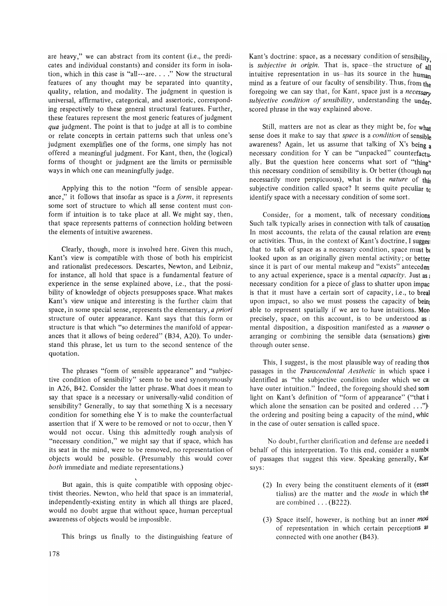are heavy," we can abstract from its content (i.e., the predicates and individual constants) and consider its form in isolation, which in this case is "all---are. . . ." Now the structural features of any thought may be separated into quantity, quality, relation, and modality. The judgment in question is universal, affirmative, categorical, and assertoric, corresponding respectively to these general structural features. Further, these features represent the most generic features of judgment *qua* judgment. The point is that to judge at all is to combine or relate concepts in certain patterns such that unless one's judgment exemplifies one of the forms, one simply has not offered a meaningful judgment. For Kant, then, the (logical) forms of thought or judgment are the limits or permissible ways in which one can meaningfully judge.

Applying this to the notion "form of sensible appearance," it follows that insofar as space is a *form,* it represents some sort of structure to which all sense content must conform if intuition is to take place at all. We might say, then, that space represents patterns of connection holding between the elements of intuitive awareness.

Clearly, though, more is involved here. Given this much, Kant's view is compatible with those of both his empiricist and rationalist predecessors. Descartes, Newton, and Leibniz, for instance, all hold that space is a fundamental feature of experience in the sense explained above, i.e., that the possibility of knowledge of objects presupposes space. What makes Kant's view unique and interesting is the further claim that space, in some special sense, represents the elementary, *a priori*  structure of outer appearance. Kant says that this form or structure is that which "so determines the manifold of appearances that it allows of being ordered" (B34, A20). To understand this phrase, let us turn to the second sentence of the quotation.

The phrases "form of sensible appearance" and "subjective condition of sensibility" seem to be used synonymously in A26, B42. Consider the latter phrase. What does it mean to say that space is a necessary or universally-valid condition of sensibility? Generally, to say that something  $X$  is a necessary condition for something else Y is to make the counterfactual assertion that if X were to be removed or not to occur, then Y would not occur. Using this admittedly rough analysis of "necessary condition," we might say that if space, which has its seat in the mind, were to be removed, no representation of objects would be possible. (Presumably this would cover *both* immediate and mediate representations.)

But again, this is quite compatible with opposing objectivist theories. Newton, who held that space is an immaterial, independently-existing entity in which all things are placed, would no doubt argue that without space, human perceptual awareness of objects would be impossible.

 $\ddot{\phantom{0}}$ 

This brings us finally to the distinguishing feature of

Kant's doctrine: space, as a necessary condition of sensibility is *subjective in origin*. That is, space-the structure of all intuitive representation in us-has its source in the human mind as a feature of our faculty of sensibility. Thus, from the foregoing we can say that, for Kant, space just is a *necessary*  subjective condition of sensibility, understanding the under. scored phrase in the way explained above.

Still, matters are not as clear as they might be, for what sense does it make to say that *space* is a *condition* of sensible awareness? Again, let us assume that talking of  $X$ 's being a necessary condition for Y can be "unpacked" counterfactule ally. But the question here concerns what sort of "thing" this necessary condition of sensibility is. Or better (though not necessarily more perspicuous), what is the *nature* of this subjective condition called space? It seems quite peculiar  $t_0$ identify space with a necessary condition of some sort.

Consider, for a moment, talk of necessary conditions Such talk typically arises in connection with talk of causation In most accounts, the relata of the causal relation are events or activities. Thus, in the context of Kant's doctrine, I suggest that to talk of space as a necessary condition, space must be looked upon as an originally given mental activity; or better since it is part of our mental makeup and "exists" anteceden to any actual experience, space is a mental *capacity.* Just as, necessary condition for a piece of glass to shatter upon impac is that it must have a certain sort of capacity, i.e., to breal upon impact, so also we must possess the capacity of being able to represent spatially if we are to have intuitions. More precisely, space, on this account, is to be understood as , mental disposition, a disposition manifested as a *manner* 0 arranging or combining the sensible data (sensations) givel through outer sense.

This, I suggest, is the most plausible way of reading thos passages in the *Transcendental Aesthetic* in which space i identified as "the subjective condition under which we ca have outer intuition." Indeed, the foregoing should shed som light on Kant's definition of "form of appearance" ("that i which alone the sensation can be posited and ordered ...") the ordering and positing being a capacity of the mind, whic in the case of outer sensation is called space.

No doubt, further clarification and defense are needed i behalf of this interpretation. To this end, consider a number of passages that suggest this view. Speaking generally, Kar says:

- (2) In every being the constituent elements of it (essel tialius) are the matter and the *mode* in which the are combined ... (B222).
- (3) Space itself, however, is nothing but an inner mod of representation in which certain perceptions al connected with one another (B43).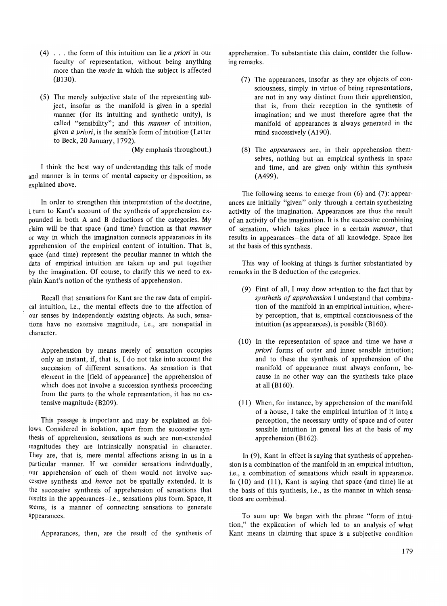- (4) ... the form of this intuition can lie *a priori* in our faculty of representation, without being anything more than the *mode* in which the subject is affected (B130).
- (5) The merely subjective state of the representing subject, insofar as the manifold is given in a special manner (for its intuiting and synthetic unity), is called "sensibility"; and this *manner* of intuition, given *a priori,* is the sensible form of intuition (Letter to Beck, 20 January, 1792).

(My emphasis throughout.)

I think the best way of understanding this talk of mode and manner is in terms of mental capacity or disposition, as explained above.

In order to strengthen this interpretation of the doctrine, I turn to Kant's account of the synthesis of apprehension expounded in both A and B deductions of the categories. My claim will be that space (and time) function as that *manner*  or way in which the imagination connects appearances in its apprehension of the empirical content of intuition. That is, space (and time) represent the peculiar manner in which the data of empirical intuition are taken up and put together by the imagination. Of course, to clarify this we need to explain Kant's notion of the synthesis of apprehension.

Recall that sensations for Kant are the raw data of empirical intuition, i.e., the mental effects due to the affection of our senses by independently existing objects. As such, sensations have no extensive magnitude, i.e., are nonspatial in character.

Apprehension by means merely of sensation occupies only an instant, if, that is, I do not take into account the succession of different sensations. As sensation is that element in the [field of appearance] the apprehension of which does not involve a succession synthesis proceeding from the parts to the whole representation, it has no extensive magnitude (B209).

This passage is important and may be explained as follows. Considered in isolation, apart from the successive synthesis of apprehension, sensations as such are non-extended magnitudes-they are intrinsically nonspatial in character. They are, that is, mere mental affections arising in us in a particular manner. If we consider sensations individually, our apprehension of each of them would not involve successive synthesis and *hence* not be spatially extended. It is the successive synthesis of apprehension of sensations that results in the appearances-i.e., sensations plus form. Space, it seems, is a manner of connecting sensations to generate appearances.

Appearances, then, are the result of the synthesis of

apprehension. To substantiate this claim, consider the following remarks.

- (7) The appearances, insofar as they are objects of consciousness, simply in virtue of being representations, are not in any way distinct from their apprehension, that is, from their reception in the synthesis of imagination; and we must therefore agree that the manifold of appearances is always generated in the mind successively (A190).
- (8) The *appearances* are, in their apprehension themselves, nothing but an empirical synthesis in space and time, and are given only within this synthesis (A499).

The following seems to emerge from (6) and (7): appearances are initially "given" only through a certain synthesizing activity of the imagination. Appearances are thus the result of an activity of the imagination. It is the successive combining of sensation, which takes place in a certain *manner,* that results in appearances-the data of all knowledge. Space lies at the basis of this synthesis.

This way of looking at things is further substantiated by remarks in the B deduction of the categories.

- (9) First of all, I may draw attention to the fact that by *synthesis of apprehension* I understand that combination of the manifold in an empirical intuition, whereby perception, that is, empirical consciousness of the intuition (as appearances), is possible (B160).
- (10) In the representation of space and time we have *a priori* forms of outer and inner sensible intuition; and to these the synthesis of apprehension of the manifold of appearance must always conform, because in no other way can the synthesis take place at all (B160).
- (11) When, for instance, by apprehension of the manifold of a house, I take the empirical intuition of it intQ a perception, the necessary unity of space and of outer sensible intuition in general lies at the basis of my apprehension (B162).

In (9), Kant in effect is saying that synthesis of apprehension is a combination of the manifold in an empirical intuition, i.e., a combination of sensations which result in appearance. In (10) and (11), Kant is saying that space (and time) lie at the basis of this synthesis, i.e., as the manner in which sensations are combined.

To sum up: We began with the phrase "form of intuition," the explication of which led to an analysis of what Kant means in claiming that space is a subjective condition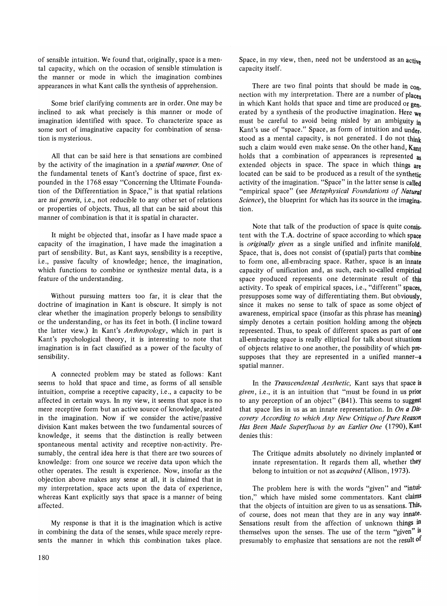of sensible intuition. We found that, originally, space is a mental capacity, which on the occasion of sensible stimulation is the manner or mode in which the imagination combines appearances in what Kant calls the synthesis of apprehension.

Some brief clarifying comments are in order. One may be inclined to ask what precisely is this manner or mode of imagination identified with space. To characterize space as some sort of imaginative capacity for combination of sensation is mysterious.

All that can be said here is that sensations are combined by the activity of the imagination in a *spatial manner.* One of the fundamental tenets of Kant's doctrine of space, first expounded in the 1768 essay "Concerning the Ultimate Foundation of the Differentiation in Space," is that spatial relations are *sui generis,* i.e., not reducible to any other set of relations or properties of objects. Thus, all that can be said about this manner of combination is that it is spatial in character.

It might be objected that, insofar as I have made space a capacity of the imagination, I have made the imagination a part of sensibility. But, as Kant says, sensibility is a receptive, i.e., passive faculty of knowledge; hence, the imagination, which functions to combine or synthesize mental data, is a feature of the understanding.

Without pursuing matters too far, it is clear that the doctrine of imagination in Kant is obscure. It simply is not clear whether the imagination properly belongs to sensibility or the understanding, or has its feet in both. (I incline toward the latter view.) In Kant's *Anthropology,* which in part is Kant's psychological theory, it is interesting to note that imagination is in fact classified as a power of the faculty of sensibility.

A connected problem may be stated as follows: Kant seems to hold that space and time, as forms of all sensible intuition, comprise a receptive capacity, i.e., a capacity to be affected in certain ways. In my view, it seems that space is no mere receptive form but an active source of knowledge, seated in the imagination. Now if we consider the active/passive division Kant makes between the two fundamental sources of knowledge, it seems that the distinction is really between spontaneous mental activity and receptive non-activity. Presumably, the central idea here is that there are two sources of knowledge: from one source we receive data upon which the other operates. The result is experience. Now, insofar as the objection above makes any sense at all, it is claimed that in my interpretation, space acts upon the data of experience, whereas Kant explicitly says that space is a manner of being affected.

My response is that it is the imagination which is active in combining the data of the senses, while space merely represents the manner in which this combination takes place. Space, in my view, then, need not be understood as an active capacity itself.

There are two final points that should be made in con. nection with my interpretation. There are a number of places in which Kant holds that space and time are produced or generated by a synthesis of the productive imagination. Here we must be careful to avoid being misled by an ambiguity in Kant's use of "space." Space, as form of intuition and under\_ stood as a mental capacity, is not generated. I do not think such a claim would even make sense. On the other hand, Kant holds that a combination of appearances is represented as extended objects in space. The space in which things are located can be said to be produced as a result of the synthetic activity of the imagination. "Space" in the latter sense is called "empirical space" (see *Metaphysical Foundations of Natural Science*), the blueprint for which has its source in the imagination.

Note that talk of the production of space is quite consistent with the T.A. doctrine of space according to which space is *originally given* as a single unified and infmite manifold. Space, that is, does not consist of (spatial) parts that combine to form one, all-embracing space. Rather, space is an innate capacity of unification and, as such, each so-called empirical space produced represents one determinate result of this activity. To speak of empirical spaces, i.e., "different" spaces, presupposes some way of differentiating them. But obviously, since it makes no sense to talk of space as some object of awareness, empirical space (insofar as this phrase has meaning) simply denotes a certain position holding among the objects represented. Thus, to speak of different spaces as part of one all-embracing space is really elliptical for talk about situations of objects relative to one another, the possibility of which presupposes that they are represented in a unified manner-a spatial manner.

In the *Transcendental Aesthetic,* Kant says that space is *given,* i.e., it is an intuition that "must be found in us prior to any perception of an object" (B41). This seems to suggest that space lies in us as an innate representation. In *On a Discovery According to which Any New Critique of Pure Reason Has Been Made Superfluous by an Earlier One* (1790), Kant denies this:

The Critique admits absolutely no divinely implanted or innate representation. It regards them all, whether they belong to intuition or not as *acquired* (Allison, 1973).

The problem here is with the words "given" and "intuition," which have misled some commentators. Kant claims that the objects of intuition are given to us as sensations. This, of course, does not mean that they are in any way innate. Sensations result from the affection of unknown things in themselves upon the senses. The use of the term "given" is presumably to emphasize that sensations are not the result of